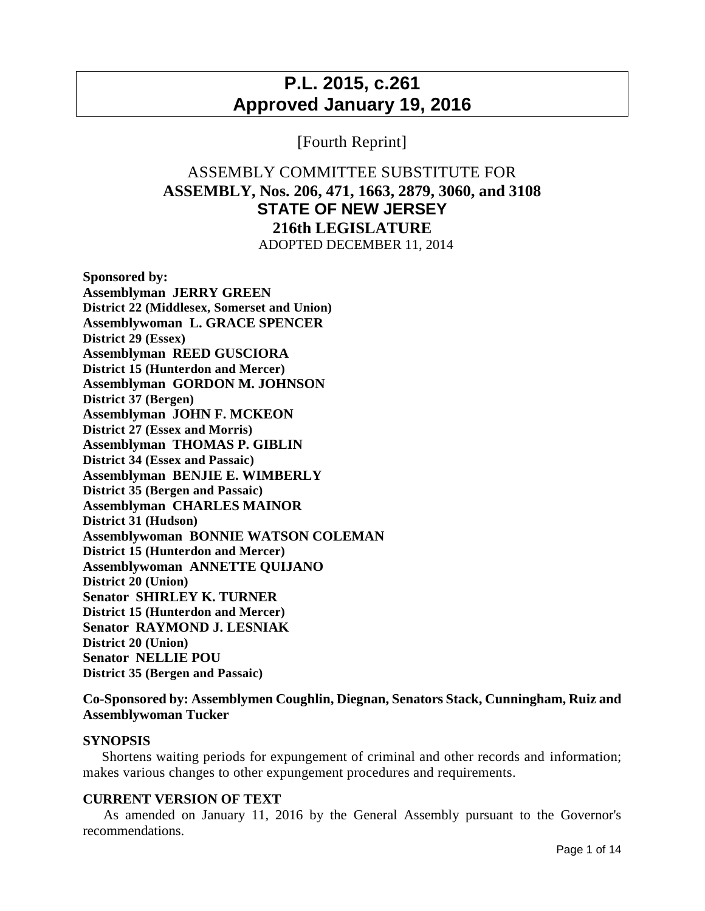# **P.L. 2015, c.261 Approved January 19, 2016**

## [Fourth Reprint]

## ASSEMBLY COMMITTEE SUBSTITUTE FOR **ASSEMBLY, Nos. 206, 471, 1663, 2879, 3060, and 3108 STATE OF NEW JERSEY 216th LEGISLATURE** ADOPTED DECEMBER 11, 2014

**Sponsored by: Assemblyman JERRY GREEN District 22 (Middlesex, Somerset and Union) Assemblywoman L. GRACE SPENCER District 29 (Essex) Assemblyman REED GUSCIORA District 15 (Hunterdon and Mercer) Assemblyman GORDON M. JOHNSON District 37 (Bergen) Assemblyman JOHN F. MCKEON District 27 (Essex and Morris) Assemblyman THOMAS P. GIBLIN District 34 (Essex and Passaic) Assemblyman BENJIE E. WIMBERLY District 35 (Bergen and Passaic) Assemblyman CHARLES MAINOR District 31 (Hudson) Assemblywoman BONNIE WATSON COLEMAN District 15 (Hunterdon and Mercer) Assemblywoman ANNETTE QUIJANO District 20 (Union) Senator SHIRLEY K. TURNER District 15 (Hunterdon and Mercer) Senator RAYMOND J. LESNIAK District 20 (Union) Senator NELLIE POU District 35 (Bergen and Passaic)**

### **Co-Sponsored by: Assemblymen Coughlin, Diegnan, Senators Stack, Cunningham, Ruiz and Assemblywoman Tucker**

#### **SYNOPSIS**

 Shortens waiting periods for expungement of criminal and other records and information; makes various changes to other expungement procedures and requirements.

#### **CURRENT VERSION OF TEXT**

 As amended on January 11, 2016 by the General Assembly pursuant to the Governor's recommendations.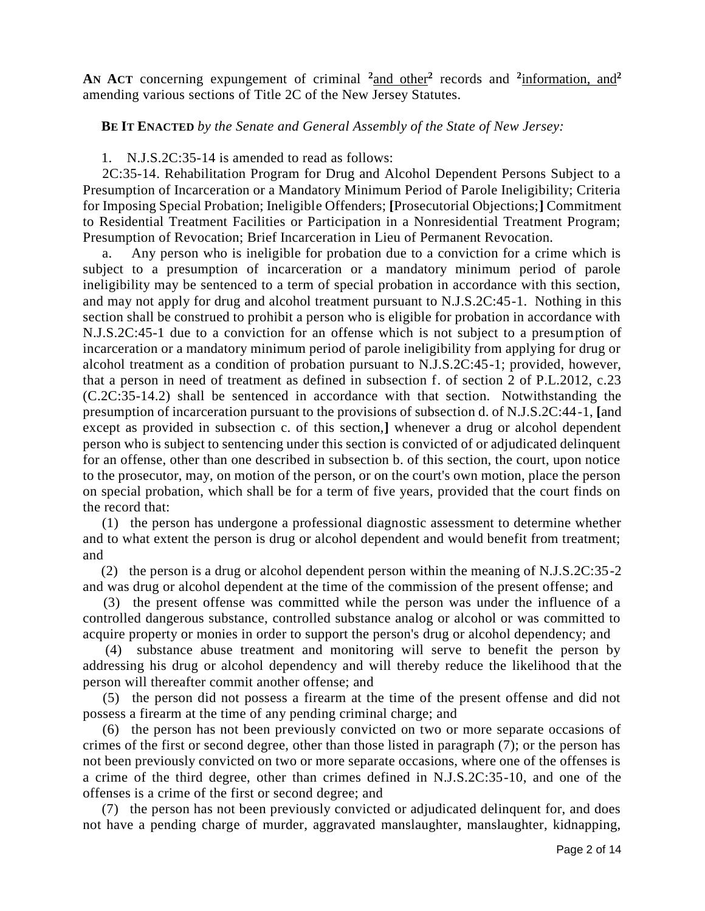**AN ACT** concerning expungement of criminal **<sup>2</sup>**and other**<sup>2</sup>** records and **<sup>2</sup>** information, and**<sup>2</sup>** amending various sections of Title 2C of the New Jersey Statutes.

 **BE IT ENACTED** *by the Senate and General Assembly of the State of New Jersey:*

1. N.J.S.2C:35-14 is amended to read as follows:

 2C:35-14. Rehabilitation Program for Drug and Alcohol Dependent Persons Subject to a Presumption of Incarceration or a Mandatory Minimum Period of Parole Ineligibility; Criteria for Imposing Special Probation; Ineligible Offenders; **[**Prosecutorial Objections;**]** Commitment to Residential Treatment Facilities or Participation in a Nonresidential Treatment Program; Presumption of Revocation; Brief Incarceration in Lieu of Permanent Revocation.

 a. Any person who is ineligible for probation due to a conviction for a crime which is subject to a presumption of incarceration or a mandatory minimum period of parole ineligibility may be sentenced to a term of special probation in accordance with this section, and may not apply for drug and alcohol treatment pursuant to N.J.S.2C:45-1. Nothing in this section shall be construed to prohibit a person who is eligible for probation in accordance with N.J.S.2C:45-1 due to a conviction for an offense which is not subject to a presumption of incarceration or a mandatory minimum period of parole ineligibility from applying for drug or alcohol treatment as a condition of probation pursuant to N.J.S.2C:45-1; provided, however, that a person in need of treatment as defined in subsection f. of section 2 of P.L.2012, c.23 (C.2C:35-14.2) shall be sentenced in accordance with that section. Notwithstanding the presumption of incarceration pursuant to the provisions of subsection d. of N.J.S.2C:44-1, **[**and except as provided in subsection c. of this section,**]** whenever a drug or alcohol dependent person who is subject to sentencing under this section is convicted of or adjudicated delinquent for an offense, other than one described in subsection b. of this section, the court, upon notice to the prosecutor, may, on motion of the person, or on the court's own motion, place the person on special probation, which shall be for a term of five years, provided that the court finds on the record that:

 (1) the person has undergone a professional diagnostic assessment to determine whether and to what extent the person is drug or alcohol dependent and would benefit from treatment; and

 (2) the person is a drug or alcohol dependent person within the meaning of N.J.S.2C:35-2 and was drug or alcohol dependent at the time of the commission of the present offense; and

 (3) the present offense was committed while the person was under the influence of a controlled dangerous substance, controlled substance analog or alcohol or was committed to acquire property or monies in order to support the person's drug or alcohol dependency; and

 (4) substance abuse treatment and monitoring will serve to benefit the person by addressing his drug or alcohol dependency and will thereby reduce the likelihood that the person will thereafter commit another offense; and

 (5) the person did not possess a firearm at the time of the present offense and did not possess a firearm at the time of any pending criminal charge; and

 (6) the person has not been previously convicted on two or more separate occasions of crimes of the first or second degree, other than those listed in paragraph (7); or the person has not been previously convicted on two or more separate occasions, where one of the offenses is a crime of the third degree, other than crimes defined in N.J.S.2C:35-10, and one of the offenses is a crime of the first or second degree; and

 (7) the person has not been previously convicted or adjudicated delinquent for, and does not have a pending charge of murder, aggravated manslaughter, manslaughter, kidnapping,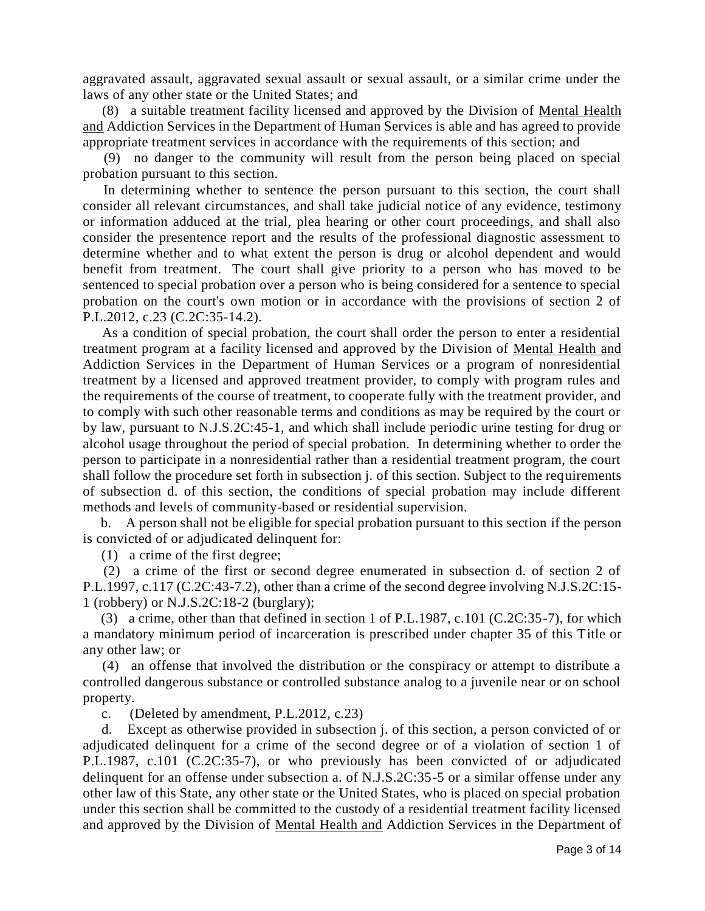aggravated assault, aggravated sexual assault or sexual assault, or a similar crime under the laws of any other state or the United States; and

 (8) a suitable treatment facility licensed and approved by the Division of Mental Health and Addiction Services in the Department of Human Services is able and has agreed to provide appropriate treatment services in accordance with the requirements of this section; and

 (9) no danger to the community will result from the person being placed on special probation pursuant to this section.

 In determining whether to sentence the person pursuant to this section, the court shall consider all relevant circumstances, and shall take judicial notice of any evidence, testimony or information adduced at the trial, plea hearing or other court proceedings, and shall also consider the presentence report and the results of the professional diagnostic assessment to determine whether and to what extent the person is drug or alcohol dependent and would benefit from treatment. The court shall give priority to a person who has moved to be sentenced to special probation over a person who is being considered for a sentence to special probation on the court's own motion or in accordance with the provisions of section 2 of P.L.2012, c.23 (C.2C:35-14.2).

 As a condition of special probation, the court shall order the person to enter a residential treatment program at a facility licensed and approved by the Division of Mental Health and Addiction Services in the Department of Human Services or a program of nonresidential treatment by a licensed and approved treatment provider, to comply with program rules and the requirements of the course of treatment, to cooperate fully with the treatment provider, and to comply with such other reasonable terms and conditions as may be required by the court or by law, pursuant to N.J.S.2C:45-1, and which shall include periodic urine testing for drug or alcohol usage throughout the period of special probation. In determining whether to order the person to participate in a nonresidential rather than a residential treatment program, the court shall follow the procedure set forth in subsection j. of this section. Subject to the requirements of subsection d. of this section, the conditions of special probation may include different methods and levels of community-based or residential supervision.

 b. A person shall not be eligible for special probation pursuant to this section if the person is convicted of or adjudicated delinquent for:

(1) a crime of the first degree;

 (2) a crime of the first or second degree enumerated in subsection d. of section 2 of P.L.1997, c.117 (C.2C:43-7.2), other than a crime of the second degree involving N.J.S.2C:15- 1 (robbery) or N.J.S.2C:18-2 (burglary);

 (3) a crime, other than that defined in section 1 of P.L.1987, c.101 (C.2C:35-7), for which a mandatory minimum period of incarceration is prescribed under chapter 35 of this Title or any other law; or

 (4) an offense that involved the distribution or the conspiracy or attempt to distribute a controlled dangerous substance or controlled substance analog to a juvenile near or on school property.

c. (Deleted by amendment, P.L.2012, c.23)

 d. Except as otherwise provided in subsection j. of this section, a person convicted of or adjudicated delinquent for a crime of the second degree or of a violation of section 1 of P.L.1987, c.101 (C.2C:35-7), or who previously has been convicted of or adjudicated delinquent for an offense under subsection a. of N.J.S.2C:35-5 or a similar offense under any other law of this State, any other state or the United States, who is placed on special probation under this section shall be committed to the custody of a residential treatment facility licensed and approved by the Division of Mental Health and Addiction Services in the Department of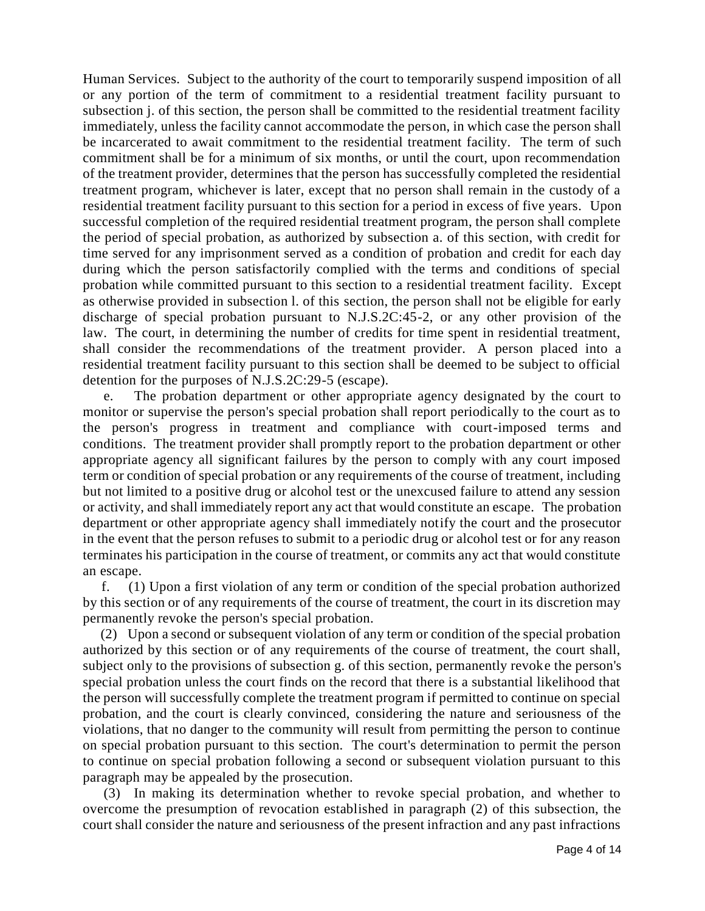Human Services. Subject to the authority of the court to temporarily suspend imposition of all or any portion of the term of commitment to a residential treatment facility pursuant to subsection j. of this section, the person shall be committed to the residential treatment facility immediately, unless the facility cannot accommodate the person, in which case the person shall be incarcerated to await commitment to the residential treatment facility. The term of such commitment shall be for a minimum of six months, or until the court, upon recommendation of the treatment provider, determines that the person has successfully completed the residential treatment program, whichever is later, except that no person shall remain in the custody of a residential treatment facility pursuant to this section for a period in excess of five years. Upon successful completion of the required residential treatment program, the person shall complete the period of special probation, as authorized by subsection a. of this section, with credit for time served for any imprisonment served as a condition of probation and credit for each day during which the person satisfactorily complied with the terms and conditions of special probation while committed pursuant to this section to a residential treatment facility. Except as otherwise provided in subsection l. of this section, the person shall not be eligible for early discharge of special probation pursuant to N.J.S.2C:45-2, or any other provision of the law. The court, in determining the number of credits for time spent in residential treatment, shall consider the recommendations of the treatment provider. A person placed into a residential treatment facility pursuant to this section shall be deemed to be subject to official detention for the purposes of N.J.S.2C:29-5 (escape).

 e. The probation department or other appropriate agency designated by the court to monitor or supervise the person's special probation shall report periodically to the court as to the person's progress in treatment and compliance with court-imposed terms and conditions. The treatment provider shall promptly report to the probation department or other appropriate agency all significant failures by the person to comply with any court imposed term or condition of special probation or any requirements of the course of treatment, including but not limited to a positive drug or alcohol test or the unexcused failure to attend any session or activity, and shall immediately report any act that would constitute an escape. The probation department or other appropriate agency shall immediately notify the court and the prosecutor in the event that the person refuses to submit to a periodic drug or alcohol test or for any reason terminates his participation in the course of treatment, or commits any act that would constitute an escape.

 f. (1) Upon a first violation of any term or condition of the special probation authorized by this section or of any requirements of the course of treatment, the court in its discretion may permanently revoke the person's special probation.

 (2) Upon a second or subsequent violation of any term or condition of the special probation authorized by this section or of any requirements of the course of treatment, the court shall, subject only to the provisions of subsection g. of this section, permanently revoke the person's special probation unless the court finds on the record that there is a substantial likelihood that the person will successfully complete the treatment program if permitted to continue on special probation, and the court is clearly convinced, considering the nature and seriousness of the violations, that no danger to the community will result from permitting the person to continue on special probation pursuant to this section. The court's determination to permit the person to continue on special probation following a second or subsequent violation pursuant to this paragraph may be appealed by the prosecution.

 (3) In making its determination whether to revoke special probation, and whether to overcome the presumption of revocation established in paragraph (2) of this subsection, the court shall consider the nature and seriousness of the present infraction and any past infractions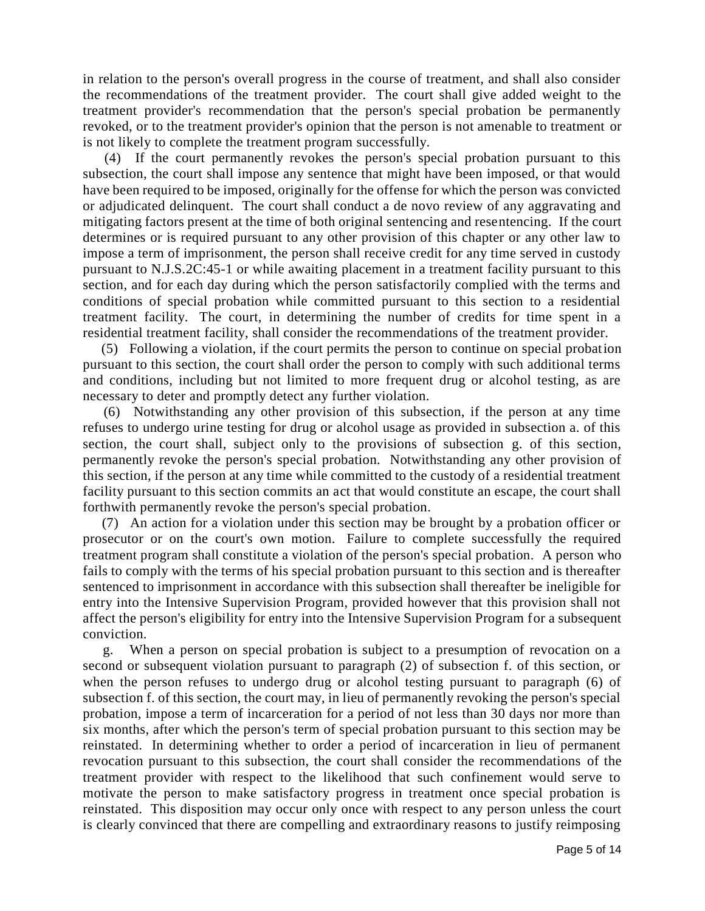in relation to the person's overall progress in the course of treatment, and shall also consider the recommendations of the treatment provider. The court shall give added weight to the treatment provider's recommendation that the person's special probation be permanently revoked, or to the treatment provider's opinion that the person is not amenable to treatment or is not likely to complete the treatment program successfully.

 (4) If the court permanently revokes the person's special probation pursuant to this subsection, the court shall impose any sentence that might have been imposed, or that would have been required to be imposed, originally for the offense for which the person was convicted or adjudicated delinquent. The court shall conduct a de novo review of any aggravating and mitigating factors present at the time of both original sentencing and resentencing. If the court determines or is required pursuant to any other provision of this chapter or any other law to impose a term of imprisonment, the person shall receive credit for any time served in custody pursuant to N.J.S.2C:45-1 or while awaiting placement in a treatment facility pursuant to this section, and for each day during which the person satisfactorily complied with the terms and conditions of special probation while committed pursuant to this section to a residential treatment facility. The court, in determining the number of credits for time spent in a residential treatment facility, shall consider the recommendations of the treatment provider.

 (5) Following a violation, if the court permits the person to continue on special probation pursuant to this section, the court shall order the person to comply with such additional terms and conditions, including but not limited to more frequent drug or alcohol testing, as are necessary to deter and promptly detect any further violation.

 (6) Notwithstanding any other provision of this subsection, if the person at any time refuses to undergo urine testing for drug or alcohol usage as provided in subsection a. of this section, the court shall, subject only to the provisions of subsection g. of this section, permanently revoke the person's special probation. Notwithstanding any other provision of this section, if the person at any time while committed to the custody of a residential treatment facility pursuant to this section commits an act that would constitute an escape, the court shall forthwith permanently revoke the person's special probation.

 (7) An action for a violation under this section may be brought by a probation officer or prosecutor or on the court's own motion. Failure to complete successfully the required treatment program shall constitute a violation of the person's special probation. A person who fails to comply with the terms of his special probation pursuant to this section and is thereafter sentenced to imprisonment in accordance with this subsection shall thereafter be ineligible for entry into the Intensive Supervision Program, provided however that this provision shall not affect the person's eligibility for entry into the Intensive Supervision Program for a subsequent conviction.

 g. When a person on special probation is subject to a presumption of revocation on a second or subsequent violation pursuant to paragraph (2) of subsection f. of this section, or when the person refuses to undergo drug or alcohol testing pursuant to paragraph (6) of subsection f. of this section, the court may, in lieu of permanently revoking the person's special probation, impose a term of incarceration for a period of not less than 30 days nor more than six months, after which the person's term of special probation pursuant to this section may be reinstated. In determining whether to order a period of incarceration in lieu of permanent revocation pursuant to this subsection, the court shall consider the recommendations of the treatment provider with respect to the likelihood that such confinement would serve to motivate the person to make satisfactory progress in treatment once special probation is reinstated. This disposition may occur only once with respect to any person unless the court is clearly convinced that there are compelling and extraordinary reasons to justify reimposing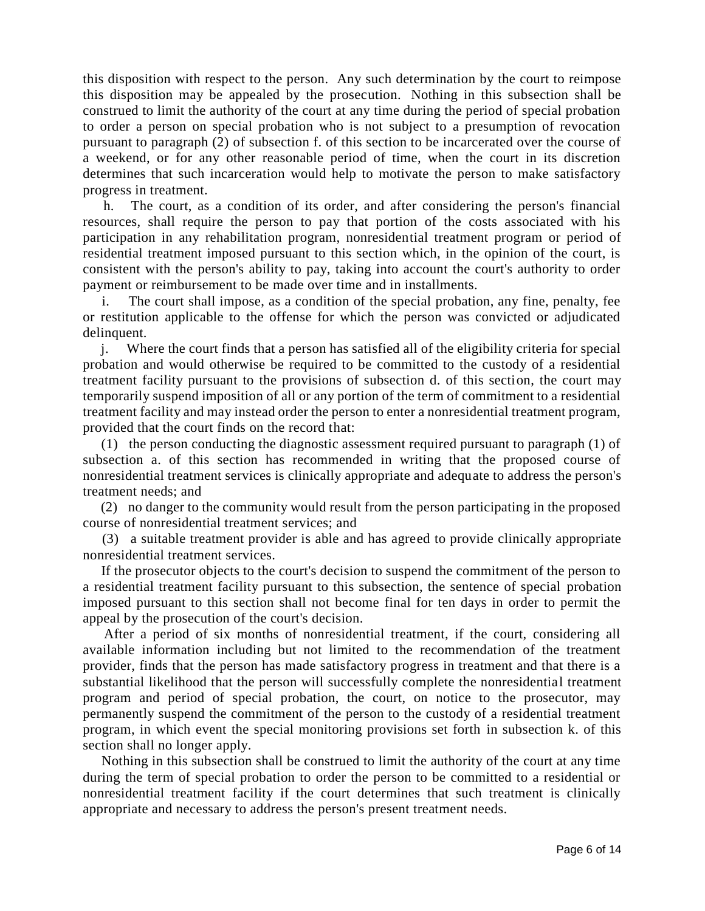this disposition with respect to the person. Any such determination by the court to reimpose this disposition may be appealed by the prosecution. Nothing in this subsection shall be construed to limit the authority of the court at any time during the period of special probation to order a person on special probation who is not subject to a presumption of revocation pursuant to paragraph (2) of subsection f. of this section to be incarcerated over the course of a weekend, or for any other reasonable period of time, when the court in its discretion determines that such incarceration would help to motivate the person to make satisfactory progress in treatment.

 h. The court, as a condition of its order, and after considering the person's financial resources, shall require the person to pay that portion of the costs associated with his participation in any rehabilitation program, nonresidential treatment program or period of residential treatment imposed pursuant to this section which, in the opinion of the court, is consistent with the person's ability to pay, taking into account the court's authority to order payment or reimbursement to be made over time and in installments.

 i. The court shall impose, as a condition of the special probation, any fine, penalty, fee or restitution applicable to the offense for which the person was convicted or adjudicated delinquent.

 j. Where the court finds that a person has satisfied all of the eligibility criteria for special probation and would otherwise be required to be committed to the custody of a residential treatment facility pursuant to the provisions of subsection d. of this section, the court may temporarily suspend imposition of all or any portion of the term of commitment to a residential treatment facility and may instead order the person to enter a nonresidential treatment program, provided that the court finds on the record that:

 (1) the person conducting the diagnostic assessment required pursuant to paragraph (1) of subsection a. of this section has recommended in writing that the proposed course of nonresidential treatment services is clinically appropriate and adequate to address the person's treatment needs; and

 (2) no danger to the community would result from the person participating in the proposed course of nonresidential treatment services; and

 (3) a suitable treatment provider is able and has agreed to provide clinically appropriate nonresidential treatment services.

 If the prosecutor objects to the court's decision to suspend the commitment of the person to a residential treatment facility pursuant to this subsection, the sentence of special probation imposed pursuant to this section shall not become final for ten days in order to permit the appeal by the prosecution of the court's decision.

 After a period of six months of nonresidential treatment, if the court, considering all available information including but not limited to the recommendation of the treatment provider, finds that the person has made satisfactory progress in treatment and that there is a substantial likelihood that the person will successfully complete the nonresidential treatment program and period of special probation, the court, on notice to the prosecutor, may permanently suspend the commitment of the person to the custody of a residential treatment program, in which event the special monitoring provisions set forth in subsection k. of this section shall no longer apply.

 Nothing in this subsection shall be construed to limit the authority of the court at any time during the term of special probation to order the person to be committed to a residential or nonresidential treatment facility if the court determines that such treatment is clinically appropriate and necessary to address the person's present treatment needs.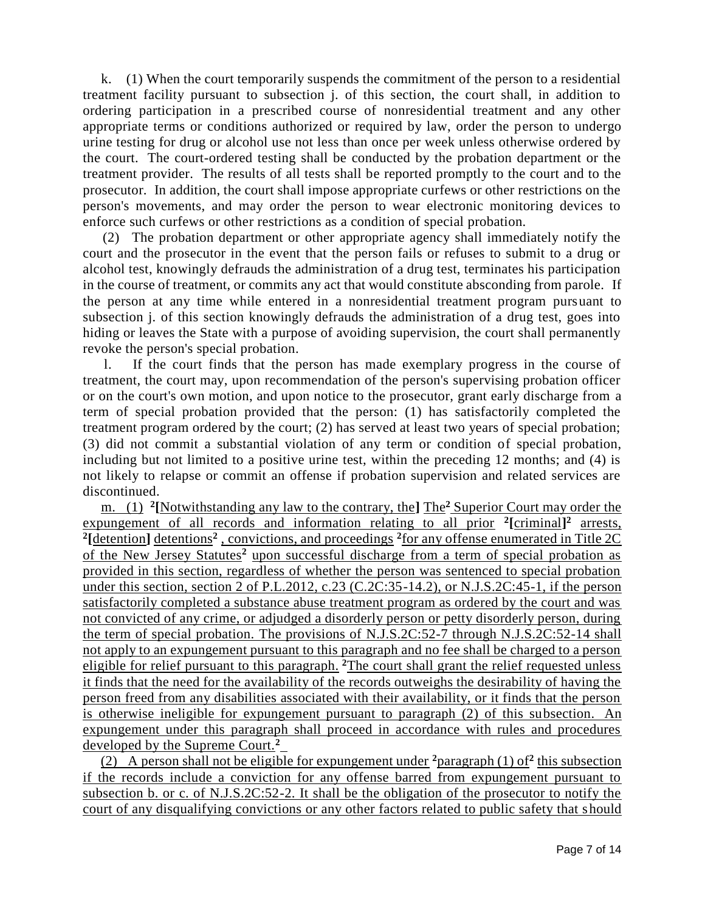k. (1) When the court temporarily suspends the commitment of the person to a residential treatment facility pursuant to subsection j. of this section, the court shall, in addition to ordering participation in a prescribed course of nonresidential treatment and any other appropriate terms or conditions authorized or required by law, order the person to undergo urine testing for drug or alcohol use not less than once per week unless otherwise ordered by the court. The court-ordered testing shall be conducted by the probation department or the treatment provider. The results of all tests shall be reported promptly to the court and to the prosecutor. In addition, the court shall impose appropriate curfews or other restrictions on the person's movements, and may order the person to wear electronic monitoring devices to enforce such curfews or other restrictions as a condition of special probation.

 (2) The probation department or other appropriate agency shall immediately notify the court and the prosecutor in the event that the person fails or refuses to submit to a drug or alcohol test, knowingly defrauds the administration of a drug test, terminates his participation in the course of treatment, or commits any act that would constitute absconding from parole. If the person at any time while entered in a nonresidential treatment program pursuant to subsection j. of this section knowingly defrauds the administration of a drug test, goes into hiding or leaves the State with a purpose of avoiding supervision, the court shall permanently revoke the person's special probation.

 l. If the court finds that the person has made exemplary progress in the course of treatment, the court may, upon recommendation of the person's supervising probation officer or on the court's own motion, and upon notice to the prosecutor, grant early discharge from a term of special probation provided that the person: (1) has satisfactorily completed the treatment program ordered by the court; (2) has served at least two years of special probation; (3) did not commit a substantial violation of any term or condition of special probation, including but not limited to a positive urine test, within the preceding 12 months; and (4) is not likely to relapse or commit an offense if probation supervision and related services are discontinued.

m. (1) <sup>2</sup>[Notwithstanding any law to the contrary, the] The<sup>2</sup> Superior Court may order the expungement of all records and information relating to all prior <sup>2</sup>[criminal]<sup>2</sup> arrests, <sup>2</sup>[detention] detentions<sup>2</sup>, convictions, and proceedings <sup>2</sup> for any offense enumerated in Title 2C of the New Jersey Statutes**<sup>2</sup>** upon successful discharge from a term of special probation as provided in this section, regardless of whether the person was sentenced to special probation under this section, section 2 of P.L.2012, c.23 (C.2C:35-14.2), or N.J.S.2C:45-1, if the person satisfactorily completed a substance abuse treatment program as ordered by the court and was not convicted of any crime, or adjudged a disorderly person or petty disorderly person, during the term of special probation. The provisions of N.J.S.2C:52-7 through N.J.S.2C:52-14 shall not apply to an expungement pursuant to this paragraph and no fee shall be charged to a person eligible for relief pursuant to this paragraph. <sup>2</sup>The court shall grant the relief requested unless it finds that the need for the availability of the records outweighs the desirability of having the person freed from any disabilities associated with their availability, or it finds that the person is otherwise ineligible for expungement pursuant to paragraph (2) of this subsection. An expungement under this paragraph shall proceed in accordance with rules and procedures developed by the Supreme Court.**<sup>2</sup>**

(2) A person shall not be eligible for expungement under  $\frac{2}{\text{paragnah}}$  (1) of  $\frac{2}{\text{ this subsection}}$ if the records include a conviction for any offense barred from expungement pursuant to subsection b. or c. of N.J.S.2C:52-2. It shall be the obligation of the prosecutor to notify the court of any disqualifying convictions or any other factors related to public safety that should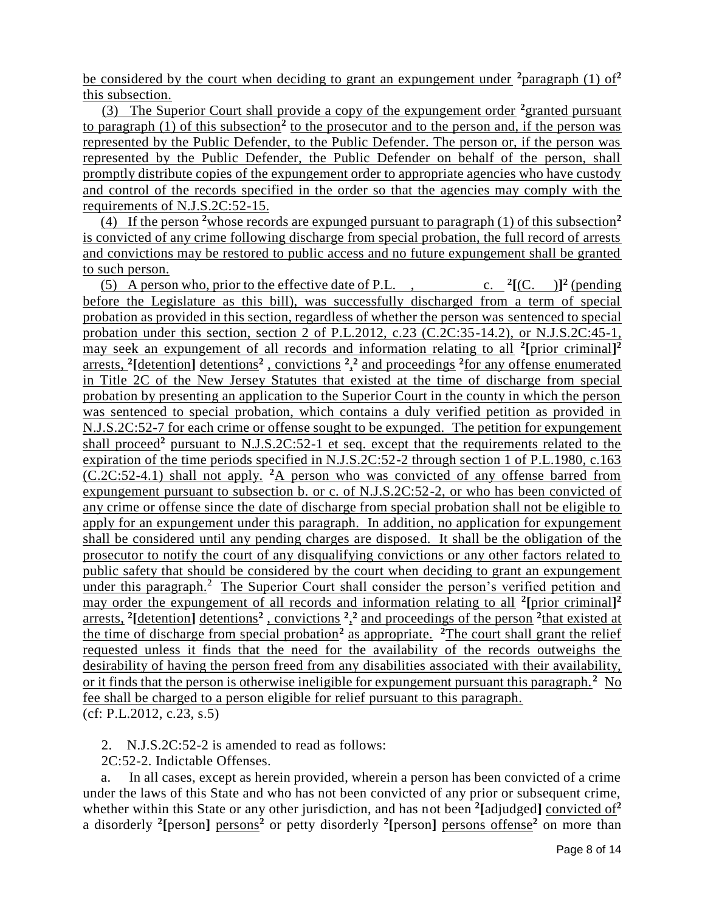be considered by the court when deciding to grant an expungement under  $\frac{2}{3}$ paragraph (1) of  $\frac{2}{3}$ this subsection.

 (3) The Superior Court shall provide a copy of the expungement order **<sup>2</sup>**granted pursuant to paragraph (1) of this subsection<sup>2</sup> to the prosecutor and to the person and, if the person was represented by the Public Defender, to the Public Defender. The person or, if the person was represented by the Public Defender, the Public Defender on behalf of the person, shall promptly distribute copies of the expungement order to appropriate agencies who have custody and control of the records specified in the order so that the agencies may comply with the requirements of N.J.S.2C:52-15.

 (4) If the person **<sup>2</sup>**whose records are expunged pursuant to paragraph (1) of this subsection**<sup>2</sup>** is convicted of any crime following discharge from special probation, the full record of arrests and convictions may be restored to public access and no future expungement shall be granted to such person.

(5) A person who, prior to the effective date of P.L.  $^{2}$ [(C. )<sup>2</sup> (pending before the Legislature as this bill), was successfully discharged from a term of special probation as provided in this section, regardless of whether the person was sentenced to special probation under this section, section 2 of P.L.2012, c.23 (C.2C:35-14.2), or N.J.S.2C:45-1, may seek an expungement of all records and information relating to all <sup>2</sup>[prior criminal]<sup>2</sup> arrests, <sup>2</sup>[detention] detentions<sup>2</sup>, convictions  $2\frac{1}{2}$  and proceedings  $2\frac{1}{2}$  for any offense enumerated in Title 2C of the New Jersey Statutes that existed at the time of discharge from special probation by presenting an application to the Superior Court in the county in which the person was sentenced to special probation, which contains a duly verified petition as provided in N.J.S.2C:52-7 for each crime or offense sought to be expunged. The petition for expungement shall proceed**<sup>2</sup>** pursuant to N.J.S.2C:52-1 et seq. except that the requirements related to the expiration of the time periods specified in N.J.S.2C:52-2 through section 1 of P.L.1980, c.163 (C.2C:52-4.1) shall not apply. **<sup>2</sup>**A person who was convicted of any offense barred from expungement pursuant to subsection b. or c. of N.J.S.2C:52-2, or who has been convicted of any crime or offense since the date of discharge from special probation shall not be eligible to apply for an expungement under this paragraph. In addition, no application for expungement shall be considered until any pending charges are disposed. It shall be the obligation of the prosecutor to notify the court of any disqualifying convictions or any other factors related to public safety that should be considered by the court when deciding to grant an expungement under this paragraph.<sup>2</sup> The Superior Court shall consider the person's verified petition and may order the expungement of all records and information relating to all <sup>2</sup>[prior criminal]<sup>2</sup> arrests, <sup>2</sup>[detention] detentions<sup>2</sup>, convictions <sup>2</sup>,<sup>2</sup> and proceedings of the person <sup>2</sup> that existed at the time of discharge from special probation**<sup>2</sup>** as appropriate. **<sup>2</sup>**The court shall grant the relief requested unless it finds that the need for the availability of the records outweighs the desirability of having the person freed from any disabilities associated with their availability, or it finds that the person is otherwise ineligible for expungement pursuant this paragraph. **<sup>2</sup>** No fee shall be charged to a person eligible for relief pursuant to this paragraph. (cf: P.L.2012, c.23, s.5)

2. N.J.S.2C:52-2 is amended to read as follows:

2C:52-2. Indictable Offenses.

 a. In all cases, except as herein provided, wherein a person has been convicted of a crime under the laws of this State and who has not been convicted of any prior or subsequent crime, whether within this State or any other jurisdiction, and has not been **<sup>2</sup> [**adjudged**]** convicted of**<sup>2</sup>** a disorderly **<sup>2</sup> [**person**]** persons**<sup>2</sup>** or petty disorderly **<sup>2</sup> [**person**]** persons offense**<sup>2</sup>** on more than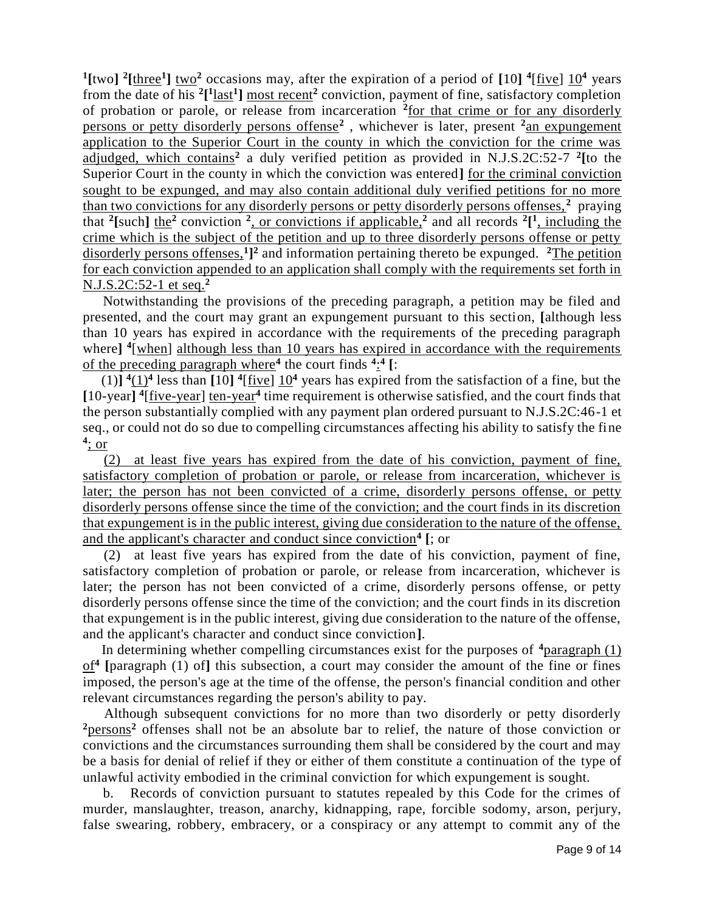<sup>1</sup>[two] <sup>2</sup>[three<sup>1</sup>] two<sup>2</sup> occasions may, after the expiration of a period of [10] <sup>4</sup>[five]  $10^4$  years from the date of his <sup>2</sup>[<sup>1</sup><u>last</u><sup>1</sup>] most recent<sup>2</sup> conviction, payment of fine, satisfactory completion of probation or parole, or release from incarceration <sup>2</sup> for that crime or for any disorderly persons or petty disorderly persons offense**<sup>2</sup>** , whichever is later, present **<sup>2</sup>**an expungement application to the Superior Court in the county in which the conviction for the crime was adjudged, which contains**<sup>2</sup>** a duly verified petition as provided in N.J.S.2C:52-7 **<sup>2</sup> [**to the Superior Court in the county in which the conviction was entered**]** for the criminal conviction sought to be expunged, and may also contain additional duly verified petitions for no more than two convictions for any disorderly persons or petty disorderly persons offenses, **<sup>2</sup>** praying that <sup>2</sup>[such] the<sup>2</sup> conviction <sup>2</sup>, or convictions if applicable,<sup>2</sup> and all records <sup>2</sup>[<sup>1</sup>, including the crime which is the subject of the petition and up to three disorderly persons offense or petty disorderly persons offenses,**<sup>1</sup> ] <sup>2</sup>** and information pertaining thereto be expunged. **<sup>2</sup>**The petition for each conviction appended to an application shall comply with the requirements set forth in N.J.S.2C:52-1 et seq.**<sup>2</sup>**

 Notwithstanding the provisions of the preceding paragraph, a petition may be filed and presented, and the court may grant an expungement pursuant to this section, **[**although less than 10 years has expired in accordance with the requirements of the preceding paragraph where<sup>] 4</sup>[when] although less than 10 years has expired in accordance with the requirements of the preceding paragraph where**<sup>4</sup>** the court finds **<sup>4</sup>** : **4 [**:

(1)]  $\frac{4(1)^4}{2}$  less than [10]  $\frac{4}{2}$  five]  $\frac{10^4}{2}$  years has expired from the satisfaction of a fine, but the [10-year]<sup>4</sup>[five-year] ten-year<sup>4</sup> time requirement is otherwise satisfied, and the court finds that the person substantially complied with any payment plan ordered pursuant to N.J.S.2C:46-1 et seq., or could not do so due to compelling circumstances affecting his ability to satisfy the fine **4** ; or

 (2) at least five years has expired from the date of his conviction, payment of fine, satisfactory completion of probation or parole, or release from incarceration, whichever is later; the person has not been convicted of a crime, disorderly persons offense, or petty disorderly persons offense since the time of the conviction; and the court finds in its discretion that expungement is in the public interest, giving due consideration to the nature of the offense, and the applicant's character and conduct since conviction**<sup>4</sup> [**; or

 (2) at least five years has expired from the date of his conviction, payment of fine, satisfactory completion of probation or parole, or release from incarceration, whichever is later; the person has not been convicted of a crime, disorderly persons offense, or petty disorderly persons offense since the time of the conviction; and the court finds in its discretion that expungement is in the public interest, giving due consideration to the nature of the offense, and the applicant's character and conduct since conviction**]**.

 In determining whether compelling circumstances exist for the purposes of **<sup>4</sup>**paragraph (1) of**<sup>4</sup> [**paragraph (1) of**]** this subsection, a court may consider the amount of the fine or fines imposed, the person's age at the time of the offense, the person's financial condition and other relevant circumstances regarding the person's ability to pay.

 Although subsequent convictions for no more than two disorderly or petty disorderly **<sup>2</sup>**persons**<sup>2</sup>** offenses shall not be an absolute bar to relief, the nature of those conviction or convictions and the circumstances surrounding them shall be considered by the court and may be a basis for denial of relief if they or either of them constitute a continuation of the type of unlawful activity embodied in the criminal conviction for which expungement is sought.

 b. Records of conviction pursuant to statutes repealed by this Code for the crimes of murder, manslaughter, treason, anarchy, kidnapping, rape, forcible sodomy, arson, perjury, false swearing, robbery, embracery, or a conspiracy or any attempt to commit any of the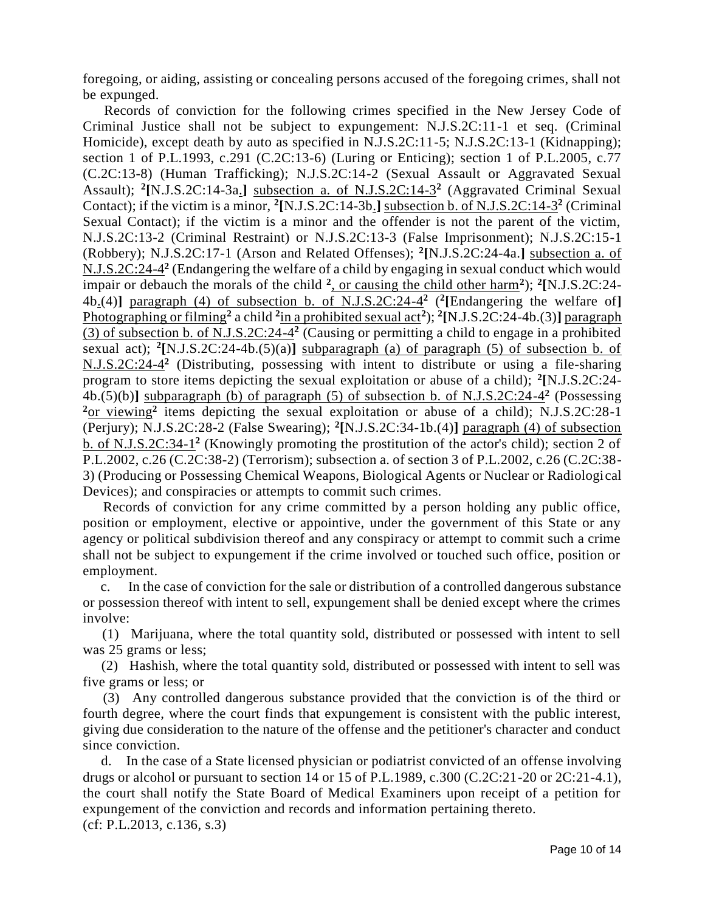foregoing, or aiding, assisting or concealing persons accused of the foregoing crimes, shall not be expunged.

 Records of conviction for the following crimes specified in the New Jersey Code of Criminal Justice shall not be subject to expungement: N.J.S.2C:11-1 et seq. (Criminal Homicide), except death by auto as specified in N.J.S.2C:11-5; N.J.S.2C:13-1 (Kidnapping); section 1 of P.L.1993, c.291 (C.2C:13-6) (Luring or Enticing); section 1 of P.L.2005, c.77 (C.2C:13-8) (Human Trafficking); N.J.S.2C:14-2 (Sexual Assault or Aggravated Sexual Assault); <sup>2</sup>[N.J.S.2C:14-3a<sub>1</sub>] subsection a. of N.J.S.2C:14-3<sup>2</sup> (Aggravated Criminal Sexual Contact); if the victim is a minor,  $^2$ [N.J.S.2C:14-3b.] subsection b. of N.J.S.2C:14-3<sup>2</sup> (Criminal Sexual Contact); if the victim is a minor and the offender is not the parent of the victim, N.J.S.2C:13-2 (Criminal Restraint) or N.J.S.2C:13-3 (False Imprisonment); N.J.S.2C:15-1 (Robbery); N.J.S.2C:17-1 (Arson and Related Offenses); **<sup>2</sup> [**N.J.S.2C:24-4a.**]** subsection a. of N.J.S.2C:24-4 **2** (Endangering the welfare of a child by engaging in sexual conduct which would impair or debauch the morals of the child **<sup>2</sup>** , or causing the child other harm**<sup>2</sup>** ); **<sup>2</sup> [**N.J.S.2C:24- 4b.(4)**]** paragraph (4) of subsection b. of N.J.S.2C:24-4 **2** ( **2 [**Endangering the welfare of**]** Photographing or filming**<sup>2</sup>** a child **<sup>2</sup>** in a prohibited sexual act**<sup>2</sup>** ); **<sup>2</sup> [**N.J.S.2C:24-4b.(3)**]** paragraph (3) of subsection b. of N.J.S.2C:24-4 **2** (Causing or permitting a child to engage in a prohibited sexual act); **<sup>2</sup> [**N.J.S.2C:24-4b.(5)(a)**]** subparagraph (a) of paragraph (5) of subsection b. of N.J.S.2C:24-4 **2** (Distributing, possessing with intent to distribute or using a file-sharing program to store items depicting the sexual exploitation or abuse of a child); **<sup>2</sup> [**N.J.S.2C:24- 4b.(5)(b)**]** subparagraph (b) of paragraph (5) of subsection b. of N.J.S.2C:24-4 **2** (Possessing <sup>2</sup>or viewing<sup>2</sup> items depicting the sexual exploitation or abuse of a child); N.J.S.2C:28-1 (Perjury); N.J.S.2C:28-2 (False Swearing); **<sup>2</sup> [**N.J.S.2C:34-1b.(4)**]** paragraph (4) of subsection b. of N.J.S.2C:34-1 **2** (Knowingly promoting the prostitution of the actor's child); section 2 of P.L.2002, c.26 (C.2C:38-2) (Terrorism); subsection a. of section 3 of P.L.2002, c.26 (C.2C:38- 3) (Producing or Possessing Chemical Weapons, Biological Agents or Nuclear or Radiological Devices); and conspiracies or attempts to commit such crimes.

 Records of conviction for any crime committed by a person holding any public office, position or employment, elective or appointive, under the government of this State or any agency or political subdivision thereof and any conspiracy or attempt to commit such a crime shall not be subject to expungement if the crime involved or touched such office, position or employment.

 c. In the case of conviction for the sale or distribution of a controlled dangerous substance or possession thereof with intent to sell, expungement shall be denied except where the crimes involve:

 (1) Marijuana, where the total quantity sold, distributed or possessed with intent to sell was 25 grams or less;

 (2) Hashish, where the total quantity sold, distributed or possessed with intent to sell was five grams or less; or

 (3) Any controlled dangerous substance provided that the conviction is of the third or fourth degree, where the court finds that expungement is consistent with the public interest, giving due consideration to the nature of the offense and the petitioner's character and conduct since conviction.

 d. In the case of a State licensed physician or podiatrist convicted of an offense involving drugs or alcohol or pursuant to section 14 or 15 of P.L.1989, c.300 (C.2C:21-20 or 2C:21-4.1), the court shall notify the State Board of Medical Examiners upon receipt of a petition for expungement of the conviction and records and information pertaining thereto. (cf: P.L.2013, c.136, s.3)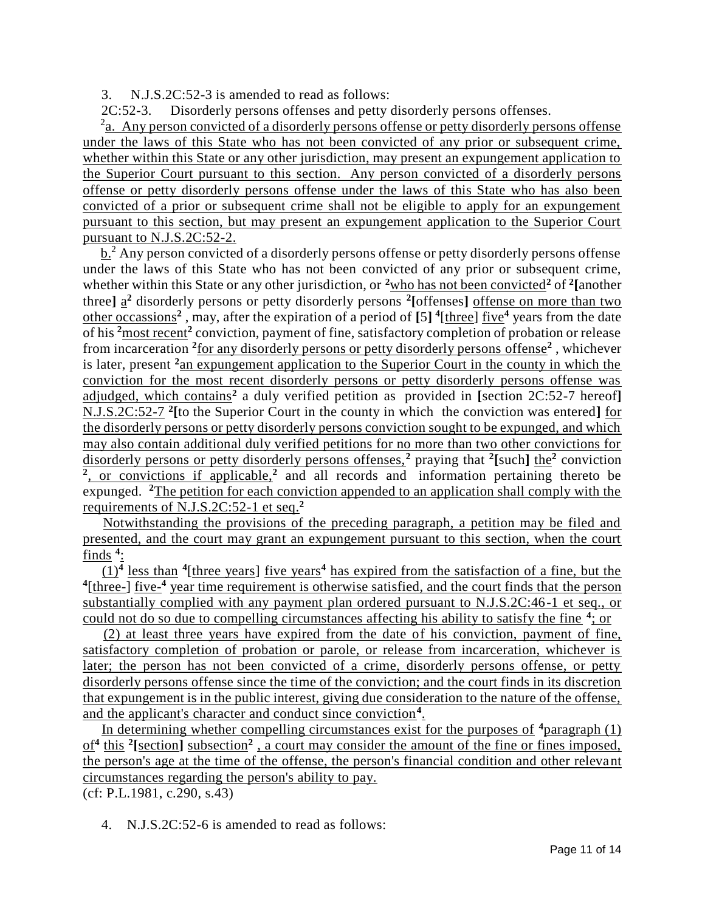3. N.J.S.2C:52-3 is amended to read as follows:

2C:52-3. Disorderly persons offenses and petty disorderly persons offenses.

<sup>2</sup> a. Any person convicted of a disorderly persons offense or petty disorderly persons offense under the laws of this State who has not been convicted of any prior or subsequent crime, whether within this State or any other jurisdiction, may present an expungement application to the Superior Court pursuant to this section. Any person convicted of a disorderly persons offense or petty disorderly persons offense under the laws of this State who has also been convicted of a prior or subsequent crime shall not be eligible to apply for an expungement pursuant to this section, but may present an expungement application to the Superior Court pursuant to N.J.S.2C:52-2.

 b.<sup>2</sup> Any person convicted of a disorderly persons offense or petty disorderly persons offense under the laws of this State who has not been convicted of any prior or subsequent crime, whether within this State or any other jurisdiction, or **<sup>2</sup>**who has not been convicted**<sup>2</sup>** of **<sup>2</sup> [**another three**]** a **<sup>2</sup>** disorderly persons or petty disorderly persons **<sup>2</sup> [**offenses**]** offense on more than two other occassions**<sup>2</sup>** , may, after the expiration of a period of **[**5**] 4** [three] five**<sup>4</sup>** years from the date of his **<sup>2</sup>**most recent**<sup>2</sup>** conviction, payment of fine, satisfactory completion of probation or release from incarceration <sup>2</sup> <u>for any disorderly persons or petty disorderly persons offense</u><sup>2</sup>, whichever is later, present **<sup>2</sup>**an expungement application to the Superior Court in the county in which the conviction for the most recent disorderly persons or petty disorderly persons offense was adjudged, which contains**<sup>2</sup>** a duly verified petition as provided in **[**section 2C:52-7 hereof**]** N.J.S.2C:52-7 **2 [**to the Superior Court in the county in which the conviction was entered**]** for the disorderly persons or petty disorderly persons conviction sought to be expunged, and which may also contain additional duly verified petitions for no more than two other convictions for disorderly persons or petty disorderly persons offenses,**<sup>2</sup>** praying that **<sup>2</sup> [**such**]** the**<sup>2</sup>** conviction <sup>2</sup>, or convictions if applicable,<sup>2</sup> and all records and information pertaining thereto be expunged. **<sup>2</sup>**The petition for each conviction appended to an application shall comply with the requirements of N.J.S.2C:52-1 et seq.**<sup>2</sup>**

 Notwithstanding the provisions of the preceding paragraph, a petition may be filed and presented, and the court may grant an expungement pursuant to this section, when the court finds **<sup>4</sup>** :

 $(1)^4$  less than <sup>4</sup>[three years] five years<sup>4</sup> has expired from the satisfaction of a fine, but the <sup>4</sup>[three-] five-<sup>4</sup> year time requirement is otherwise satisfied, and the court finds that the person substantially complied with any payment plan ordered pursuant to N.J.S.2C:46-1 et seq., or could not do so due to compelling circumstances affecting his ability to satisfy the fine **<sup>4</sup>** ; or

 (2) at least three years have expired from the date of his conviction, payment of fine, satisfactory completion of probation or parole, or release from incarceration, whichever is later; the person has not been convicted of a crime, disorderly persons offense, or petty disorderly persons offense since the time of the conviction; and the court finds in its discretion that expungement is in the public interest, giving due consideration to the nature of the offense, and the applicant's character and conduct since conviction**<sup>4</sup>** .

 In determining whether compelling circumstances exist for the purposes of **<sup>4</sup>**paragraph (1) of**<sup>4</sup>** this **<sup>2</sup> [**section**]** subsection**<sup>2</sup>** , a court may consider the amount of the fine or fines imposed, the person's age at the time of the offense, the person's financial condition and other relevant circumstances regarding the person's ability to pay. (cf: P.L.1981, c.290, s.43)

4. N.J.S.2C:52-6 is amended to read as follows: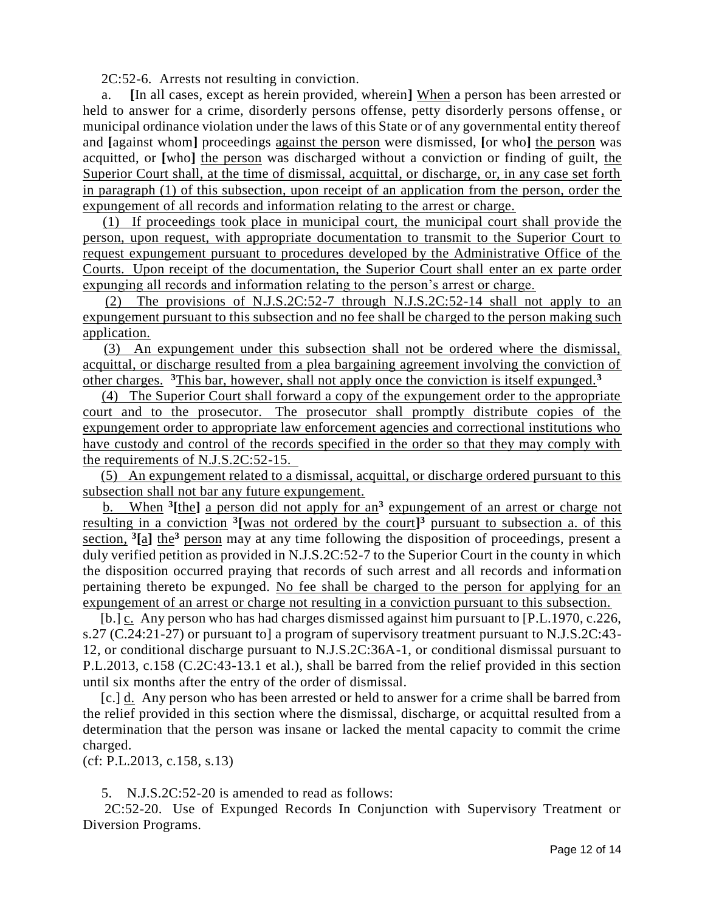2C:52-6. Arrests not resulting in conviction.

 a. **[**In all cases, except as herein provided, wherein**]** When a person has been arrested or held to answer for a crime, disorderly persons offense, petty disorderly persons offense, or municipal ordinance violation under the laws of this State or of any governmental entity thereof and **[**against whom**]** proceedings against the person were dismissed, **[**or who**]** the person was acquitted, or **[**who**]** the person was discharged without a conviction or finding of guilt, the Superior Court shall, at the time of dismissal, acquittal, or discharge, or, in any case set forth in paragraph (1) of this subsection, upon receipt of an application from the person, order the expungement of all records and information relating to the arrest or charge.

 (1) If proceedings took place in municipal court, the municipal court shall provide the person, upon request, with appropriate documentation to transmit to the Superior Court to request expungement pursuant to procedures developed by the Administrative Office of the Courts. Upon receipt of the documentation, the Superior Court shall enter an ex parte order expunging all records and information relating to the person's arrest or charge.

 (2) The provisions of N.J.S.2C:52-7 through N.J.S.2C:52-14 shall not apply to an expungement pursuant to this subsection and no fee shall be charged to the person making such application.

 (3) An expungement under this subsection shall not be ordered where the dismissal, acquittal, or discharge resulted from a plea bargaining agreement involving the conviction of other charges. **<sup>3</sup>**This bar, however, shall not apply once the conviction is itself expunged.**<sup>3</sup>**

 (4) The Superior Court shall forward a copy of the expungement order to the appropriate court and to the prosecutor. The prosecutor shall promptly distribute copies of the expungement order to appropriate law enforcement agencies and correctional institutions who have custody and control of the records specified in the order so that they may comply with the requirements of N.J.S.2C:52-15.

 (5) An expungement related to a dismissal, acquittal, or discharge ordered pursuant to this subsection shall not bar any future expungement.

 b. When **<sup>3</sup> [**the**]** a person did not apply for an**<sup>3</sup>** expungement of an arrest or charge not resulting in a conviction **<sup>3</sup> [**was not ordered by the court**] <sup>3</sup>** pursuant to subsection a. of this section, **<sup>3</sup> [**a**]** the**<sup>3</sup>** person may at any time following the disposition of proceedings, present a duly verified petition as provided in N.J.S.2C:52-7 to the Superior Court in the county in which the disposition occurred praying that records of such arrest and all records and information pertaining thereto be expunged. No fee shall be charged to the person for applying for an expungement of an arrest or charge not resulting in a conviction pursuant to this subsection.

 [b.] c. Any person who has had charges dismissed against him pursuant to [P.L.1970, c.226, s.27 (C.24:21-27) or pursuant to] a program of supervisory treatment pursuant to N.J.S.2C:43- 12, or conditional discharge pursuant to N.J.S.2C:36A-1, or conditional dismissal pursuant to P.L.2013, c.158 (C.2C:43-13.1 et al.), shall be barred from the relief provided in this section until six months after the entry of the order of dismissal.

 [c.] d. Any person who has been arrested or held to answer for a crime shall be barred from the relief provided in this section where the dismissal, discharge, or acquittal resulted from a determination that the person was insane or lacked the mental capacity to commit the crime charged.

(cf: P.L.2013, c.158, s.13)

5. N.J.S.2C:52-20 is amended to read as follows:

 2C:52-20. Use of Expunged Records In Conjunction with Supervisory Treatment or Diversion Programs.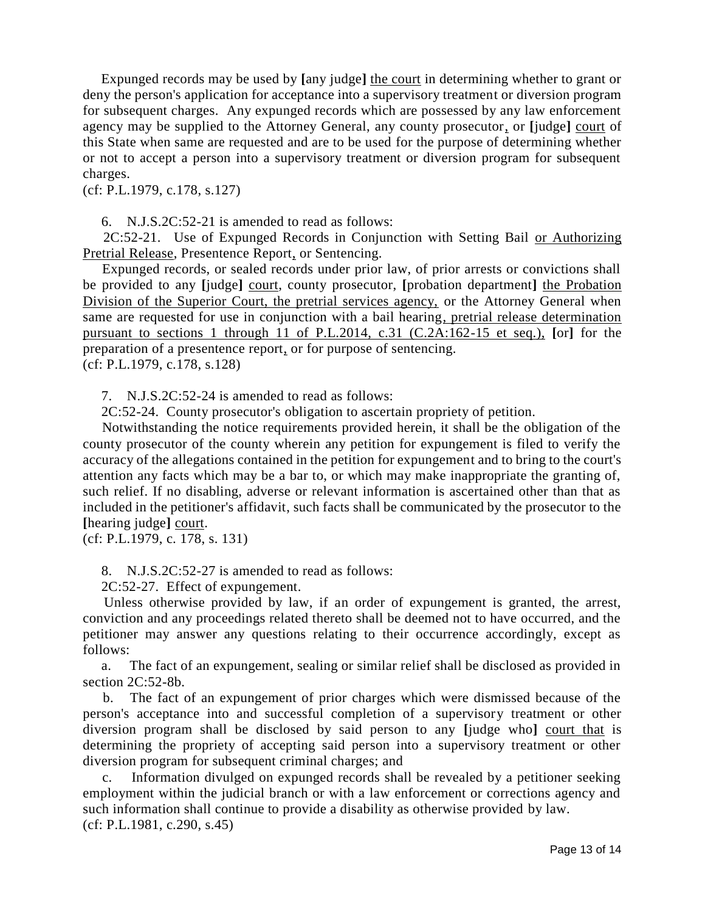Expunged records may be used by **[**any judge**]** the court in determining whether to grant or deny the person's application for acceptance into a supervisory treatment or diversion program for subsequent charges. Any expunged records which are possessed by any law enforcement agency may be supplied to the Attorney General, any county prosecutor, or **[**judge**]** court of this State when same are requested and are to be used for the purpose of determining whether or not to accept a person into a supervisory treatment or diversion program for subsequent charges.

(cf: P.L.1979, c.178, s.127)

6. N.J.S.2C:52-21 is amended to read as follows:

2C:52-21. Use of Expunged Records in Conjunction with Setting Bail or Authorizing Pretrial Release, Presentence Report, or Sentencing.

 Expunged records, or sealed records under prior law, of prior arrests or convictions shall be provided to any **[**judge**]** court, county prosecutor, **[**probation department**]** the Probation Division of the Superior Court, the pretrial services agency, or the Attorney General when same are requested for use in conjunction with a bail hearing, pretrial release determination pursuant to sections 1 through 11 of P.L.2014, c.31 (C.2A:162-15 et seq.), **[**or**]** for the preparation of a presentence report, or for purpose of sentencing. (cf: P.L.1979, c.178, s.128)

7. N.J.S.2C:52-24 is amended to read as follows:

2C:52-24. County prosecutor's obligation to ascertain propriety of petition.

 Notwithstanding the notice requirements provided herein, it shall be the obligation of the county prosecutor of the county wherein any petition for expungement is filed to verify the accuracy of the allegations contained in the petition for expungement and to bring to the court's attention any facts which may be a bar to, or which may make inappropriate the granting of, such relief. If no disabling, adverse or relevant information is ascertained other than that as included in the petitioner's affidavit, such facts shall be communicated by the prosecutor to the **[**hearing judge**]** court.

(cf: P.L.1979, c. 178, s. 131)

8. N.J.S.2C:52-27 is amended to read as follows:

2C:52-27. Effect of expungement.

 Unless otherwise provided by law, if an order of expungement is granted, the arrest, conviction and any proceedings related thereto shall be deemed not to have occurred, and the petitioner may answer any questions relating to their occurrence accordingly, except as follows:

 a. The fact of an expungement, sealing or similar relief shall be disclosed as provided in section 2C:52-8b.

 b. The fact of an expungement of prior charges which were dismissed because of the person's acceptance into and successful completion of a supervisory treatment or other diversion program shall be disclosed by said person to any **[**judge who**]** court that is determining the propriety of accepting said person into a supervisory treatment or other diversion program for subsequent criminal charges; and

 c. Information divulged on expunged records shall be revealed by a petitioner seeking employment within the judicial branch or with a law enforcement or corrections agency and such information shall continue to provide a disability as otherwise provided by law. (cf: P.L.1981, c.290, s.45)